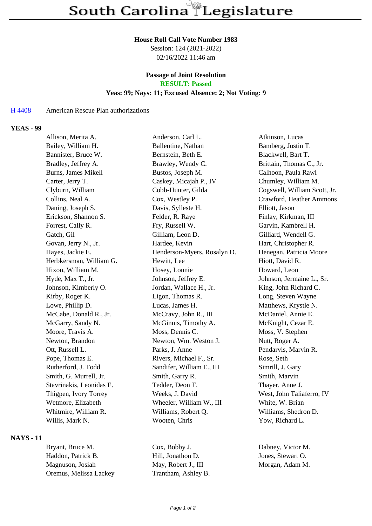#### **House Roll Call Vote Number 1983**

Session: 124 (2021-2022) 02/16/2022 11:46 am

# **Passage of Joint Resolution**

**RESULT: Passed**

## **Yeas: 99; Nays: 11; Excused Absence: 2; Not Voting: 9**

#### H 4408 American Rescue Plan authorizations

#### **YEAS - 99**

| Allison, Merita A.       | Anderson, Carl L.           | Atkinson, Lucas              |
|--------------------------|-----------------------------|------------------------------|
| Bailey, William H.       | Ballentine, Nathan          | Bamberg, Justin T.           |
| Bannister, Bruce W.      | Bernstein, Beth E.          | Blackwell, Bart T.           |
| Bradley, Jeffrey A.      | Brawley, Wendy C.           | Brittain, Thomas C., Jr.     |
| Burns, James Mikell      | Bustos, Joseph M.           | Calhoon, Paula Rawl          |
| Carter, Jerry T.         | Caskey, Micajah P., IV      | Chumley, William M.          |
| Clyburn, William         | Cobb-Hunter, Gilda          | Cogswell, William Scott, Jr. |
| Collins, Neal A.         | Cox, Westley P.             | Crawford, Heather Ammons     |
| Daning, Joseph S.        | Davis, Sylleste H.          | Elliott, Jason               |
| Erickson, Shannon S.     | Felder, R. Raye             | Finlay, Kirkman, III         |
| Forrest, Cally R.        | Fry, Russell W.             | Garvin, Kambrell H.          |
| Gatch, Gil               | Gilliam, Leon D.            | Gilliard, Wendell G.         |
| Govan, Jerry N., Jr.     | Hardee, Kevin               | Hart, Christopher R.         |
| Hayes, Jackie E.         | Henderson-Myers, Rosalyn D. | Henegan, Patricia Moore      |
| Herbkersman, William G.  | Hewitt, Lee                 | Hiott, David R.              |
| Hixon, William M.        | Hosey, Lonnie               | Howard, Leon                 |
| Hyde, Max T., Jr.        | Johnson, Jeffrey E.         | Johnson, Jermaine L., Sr.    |
| Johnson, Kimberly O.     | Jordan, Wallace H., Jr.     | King, John Richard C.        |
| Kirby, Roger K.          | Ligon, Thomas R.            | Long, Steven Wayne           |
| Lowe, Phillip D.         | Lucas, James H.             | Matthews, Krystle N.         |
| McCabe, Donald R., Jr.   | McCravy, John R., III       | McDaniel, Annie E.           |
| McGarry, Sandy N.        | McGinnis, Timothy A.        | McKnight, Cezar E.           |
| Moore, Travis A.         | Moss, Dennis C.             | Moss, V. Stephen             |
| Newton, Brandon          | Newton, Wm. Weston J.       | Nutt, Roger A.               |
| Ott, Russell L.          | Parks, J. Anne              | Pendarvis, Marvin R.         |
| Pope, Thomas E.          | Rivers, Michael F., Sr.     | Rose, Seth                   |
| Rutherford, J. Todd      | Sandifer, William E., III   | Simrill, J. Gary             |
| Smith, G. Murrell, Jr.   | Smith, Garry R.             | Smith, Marvin                |
| Stavrinakis, Leonidas E. | Tedder, Deon T.             | Thayer, Anne J.              |
| Thigpen, Ivory Torrey    | Weeks, J. David             | West, John Taliaferro, IV    |
| Wetmore, Elizabeth       | Wheeler, William W., III    | White, W. Brian              |
| Whitmire, William R.     | Williams, Robert Q.         | Williams, Shedron D.         |
| Willis, Mark N.          | Wooten, Chris               | Yow, Richard L.              |
|                          |                             |                              |

# **NAYS - 11**

Bryant, Bruce M. Cox, Bobby J. Dabney, Victor M. Haddon, Patrick B. Hill, Jonathon D. Jones, Stewart O. Magnuson, Josiah May, Robert J., III Morgan, Adam M. Oremus, Melissa Lackey Trantham, Ashley B.